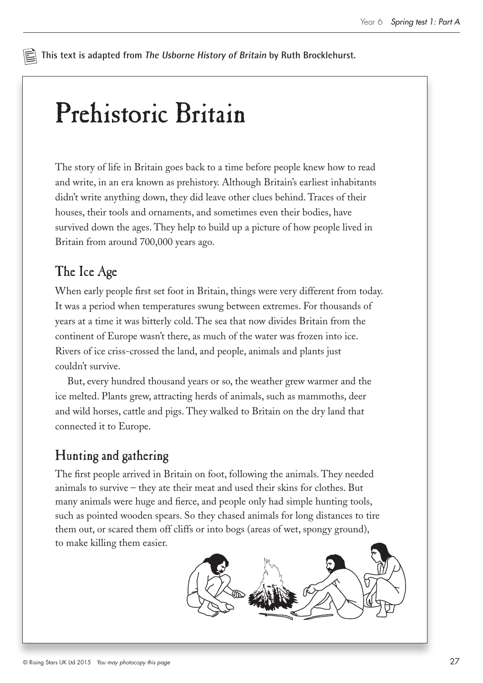**This text is adapted from The Usborne History of Britain by Ruth Brocklehurst.**

# Prehistoric Britain

The story of life in Britain goes back to a time before people knew how to read and write, in an era known as prehistory. Although Britain's earliest inhabitants didn't write anything down, they did leave other clues behind. Traces of their houses, their tools and ornaments, and sometimes even their bodies, have survived down the ages. They help to build up a picture of how people lived in Britain from around 700,000 years ago.

### The Ice Age

When early people first set foot in Britain, things were very different from today. It was a period when temperatures swung between extremes. For thousands of years at a time it was bitterly cold. The sea that now divides Britain from the continent of Europe wasn't there, as much of the water was frozen into ice. Rivers of ice criss-crossed the land, and people, animals and plants just couldn't survive.

But, every hundred thousand years or so, the weather grew warmer and the ice melted. Plants grew, attracting herds of animals, such as mammoths, deer and wild horses, cattle and pigs. They walked to Britain on the dry land that connected it to Europe.

### Hunting and gathering

The first people arrived in Britain on foot, following the animals. They needed animals to survive – they ate their meat and used their skins for clothes. But many animals were huge and fierce, and people only had simple hunting tools, such as pointed wooden spears. So they chased animals for long distances to tire them out, or scared them off cliffs or into bogs (areas of wet, spongy ground), to make killing them easier.

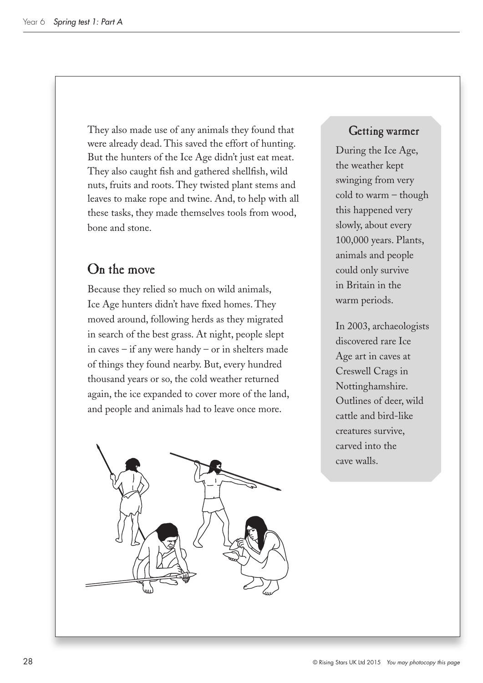They also made use of any animals they found that were already dead. This saved the effort of hunting. But the hunters of the Ice Age didn't just eat meat. They also caught fish and gathered shellfish, wild nuts, fruits and roots. They twisted plant stems and leaves to make rope and twine. And, to help with all these tasks, they made themselves tools from wood, bone and stone.

## On the move

Because they relied so much on wild animals, Ice Age hunters didn't have fixed homes. They moved around, following herds as they migrated in search of the best grass. At night, people slept in caves – if any were handy – or in shelters made of things they found nearby. But, every hundred thousand years or so, the cold weather returned again, the ice expanded to cover more of the land, and people and animals had to leave once more.



#### Getting warmer

During the Ice Age, the weather kept swinging from very cold to warm – though this happened very slowly, about every 100,000 years. Plants, animals and people could only survive in Britain in the warm periods.

In 2003, archaeologists discovered rare Ice Age art in caves at Creswell Crags in Nottinghamshire. Outlines of deer, wild cattle and bird-like creatures survive, carved into the cave walls.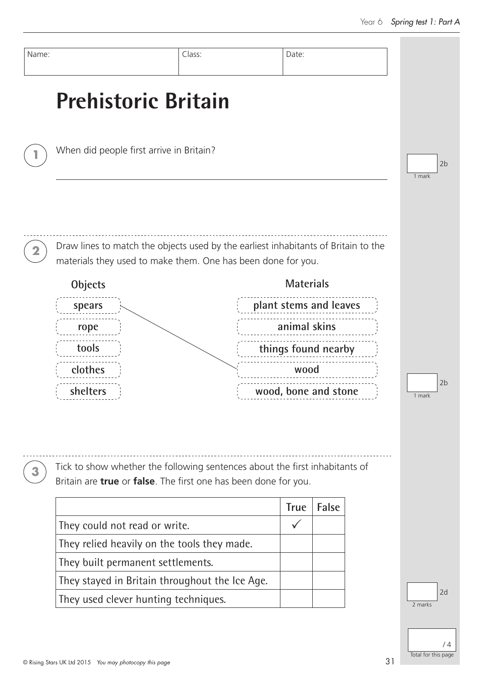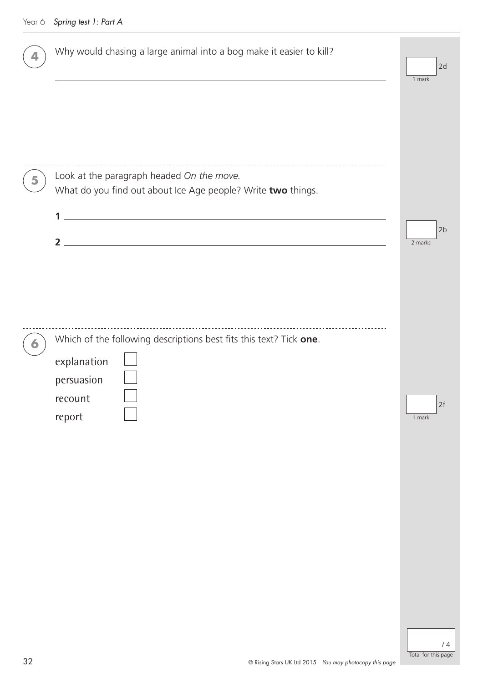| Look at the paragraph headed On the move.<br>5<br>What do you find out about Ice Age people? Write two things.<br><u> 1989 - Johann Stoff, deutscher Stoff, der Stoff, der Stoff, der Stoff, der Stoff, der Stoff, der Stoff, der S</u><br>1<br>$\overline{2}$<br><u> 1989 - Johann Stoff, deutscher Stoffen und der Stoffen und der Stoffen und der Stoffen und der Stoffen und der</u> | 2d<br>1 mark  |
|------------------------------------------------------------------------------------------------------------------------------------------------------------------------------------------------------------------------------------------------------------------------------------------------------------------------------------------------------------------------------------------|---------------|
|                                                                                                                                                                                                                                                                                                                                                                                          | 2b<br>2 marks |
| Which of the following descriptions best fits this text? Tick one.<br>explanation<br>persuasion<br>recount<br>report                                                                                                                                                                                                                                                                     | 2f<br>1 mark  |
|                                                                                                                                                                                                                                                                                                                                                                                          | /4            |